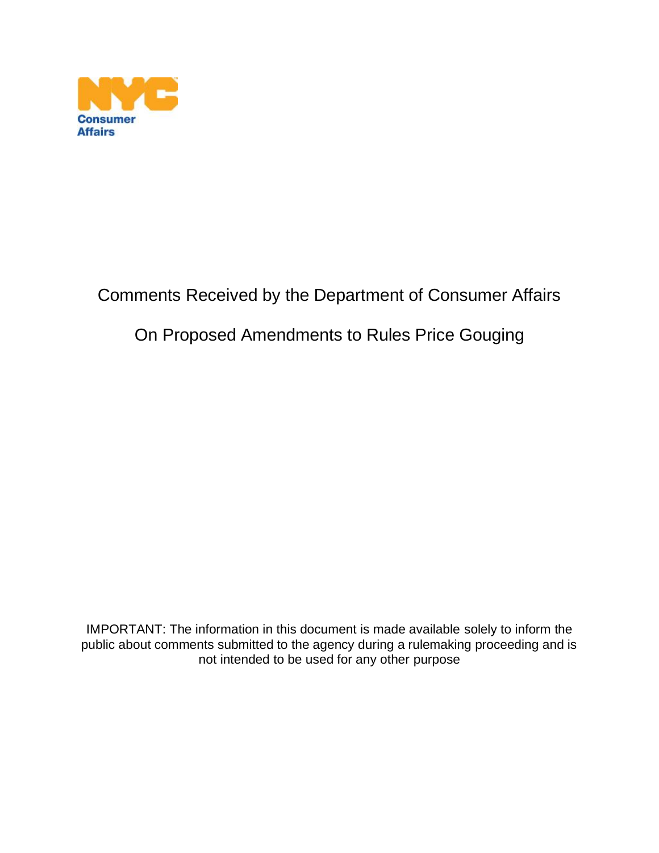

## Comments Received by the Department of Consumer Affairs

### On Proposed Amendments to Rules Price Gouging

IMPORTANT: The information in this document is made available solely to inform the public about comments submitted to the agency during a rulemaking proceeding and is not intended to be used for any other purpose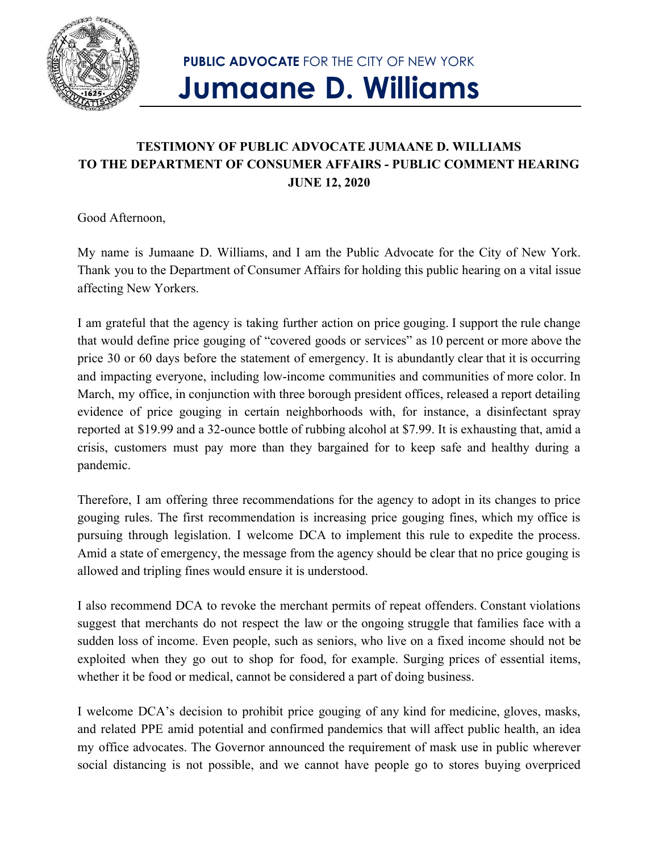

## **PUBLIC ADVOCATE** FOR THE CITY OF NEW YORK **Jumaane D. Williams**

#### **TESTIMONY OF PUBLIC ADVOCATE JUMAANE D. WILLIAMS TO THE DEPARTMENT OF CONSUMER AFFAIRS - PUBLIC COMMENT HEARING JUNE 12, 2020**

Good Afternoon,

My name is Jumaane D. Williams, and I am the Public Advocate for the City of New York. Thank you to the Department of Consumer Affairs for holding this public hearing on a vital issue affecting New Yorkers.

I am grateful that the agency is taking further action on price gouging. I support the rule change that would define price gouging of "covered goods or services" as 10 percent or more above the price 30 or 60 days before the statement of emergency. It is abundantly clear that it is occurring and impacting everyone, including low-income communities and communities of more color. In March, my office, in conjunction with three borough president offices, released a report detailing evidence of price gouging in certain neighborhoods with, for instance, a disinfectant spray reported at \$19.99 and a 32-ounce bottle of rubbing alcohol at \$7.99. It is exhausting that, amid a crisis, customers must pay more than they bargained for to keep safe and healthy during a pandemic.

Therefore, I am offering three recommendations for the agency to adopt in its changes to price gouging rules. The first recommendation is increasing price gouging fines, which my office is pursuing through legislation. I welcome DCA to implement this rule to expedite the process. Amid a state of emergency, the message from the agency should be clear that no price gouging is allowed and tripling fines would ensure it is understood.

I also recommend DCA to revoke the merchant permits of repeat offenders. Constant violations suggest that merchants do not respect the law or the ongoing struggle that families face with a sudden loss of income. Even people, such as seniors, who live on a fixed income should not be exploited when they go out to shop for food, for example. Surging prices of essential items, whether it be food or medical, cannot be considered a part of doing business.

I welcome DCA's decision to prohibit price gouging of any kind for medicine, gloves, masks, and related PPE amid potential and confirmed pandemics that will affect public health, an idea my office advocates. The Governor announced the requirement of mask use in public wherever social distancing is not possible, and we cannot have people go to stores buying overpriced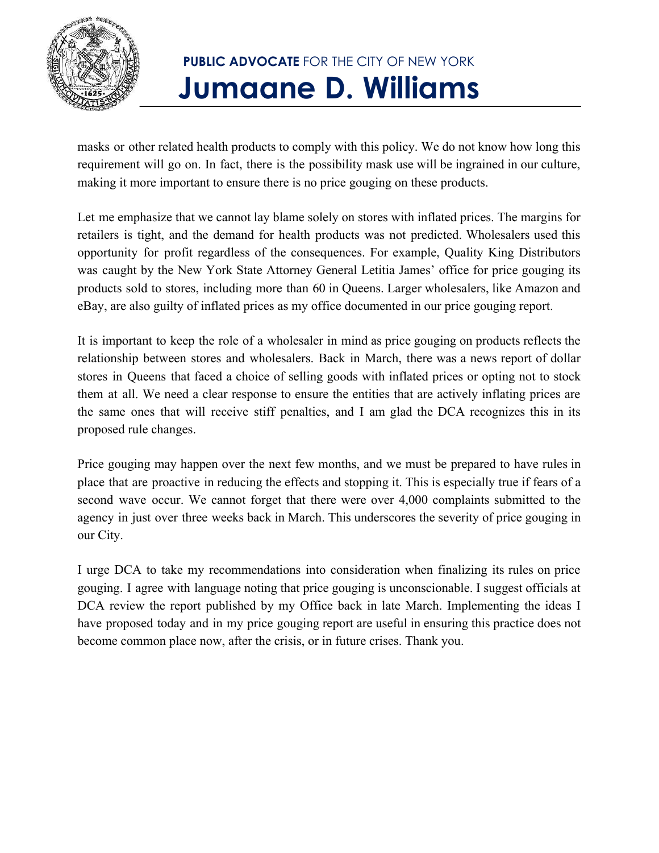

# **PUBLIC ADVOCATE** FOR THE CITY OF NEW YORK **Jumaane D. Williams**

masks or other related health products to comply with this policy. We do not know how long this requirement will go on. In fact, there is the possibility mask use will be ingrained in our culture, making it more important to ensure there is no price gouging on these products.

Let me emphasize that we cannot lay blame solely on stores with inflated prices. The margins for retailers is tight, and the demand for health products was not predicted. Wholesalers used this opportunity for profit regardless of the consequences. For example, Quality King Distributors was caught by the New York State Attorney General Letitia James' office for price gouging its products sold to stores, including more than 60 in Queens. Larger wholesalers, like Amazon and eBay, are also guilty of inflated prices as my office documented in our price gouging report.

It is important to keep the role of a wholesaler in mind as price gouging on products reflects the relationship between stores and wholesalers. Back in March, there was a news report of dollar stores in Queens that faced a choice of selling goods with inflated prices or opting not to stock them at all. We need a clear response to ensure the entities that are actively inflating prices are the same ones that will receive stiff penalties, and I am glad the DCA recognizes this in its proposed rule changes.

Price gouging may happen over the next few months, and we must be prepared to have rules in place that are proactive in reducing the effects and stopping it. This is especially true if fears of a second wave occur. We cannot forget that there were over 4,000 complaints submitted to the agency in just over three weeks back in March. This underscores the severity of price gouging in our City.

I urge DCA to take my recommendations into consideration when finalizing its rules on price gouging. I agree with language noting that price gouging is unconscionable. I suggest officials at DCA review the report published by my Office back in late March. Implementing the ideas I have proposed today and in my price gouging report are useful in ensuring this practice does not become common place now, after the crisis, or in future crises. Thank you.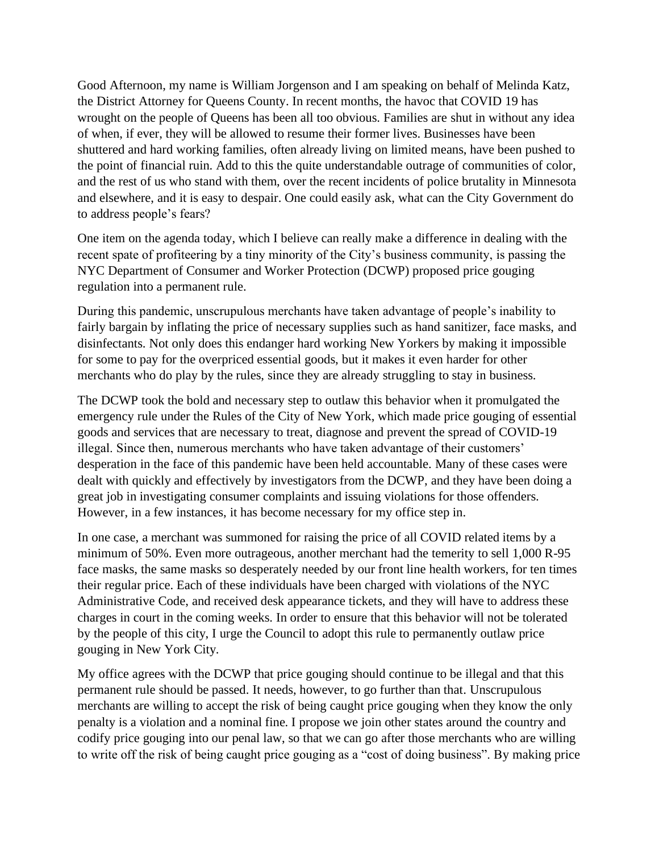Good Afternoon, my name is William Jorgenson and I am speaking on behalf of Melinda Katz, the District Attorney for Queens County. In recent months, the havoc that COVID 19 has wrought on the people of Queens has been all too obvious. Families are shut in without any idea of when, if ever, they will be allowed to resume their former lives. Businesses have been shuttered and hard working families, often already living on limited means, have been pushed to the point of financial ruin. Add to this the quite understandable outrage of communities of color, and the rest of us who stand with them, over the recent incidents of police brutality in Minnesota and elsewhere, and it is easy to despair. One could easily ask, what can the City Government do to address people's fears?

One item on the agenda today, which I believe can really make a difference in dealing with the recent spate of profiteering by a tiny minority of the City's business community, is passing the NYC Department of Consumer and Worker Protection (DCWP) proposed price gouging regulation into a permanent rule.

During this pandemic, unscrupulous merchants have taken advantage of people's inability to fairly bargain by inflating the price of necessary supplies such as hand sanitizer, face masks, and disinfectants. Not only does this endanger hard working New Yorkers by making it impossible for some to pay for the overpriced essential goods, but it makes it even harder for other merchants who do play by the rules, since they are already struggling to stay in business.

The DCWP took the bold and necessary step to outlaw this behavior when it promulgated the emergency rule under the Rules of the City of New York, which made price gouging of essential goods and services that are necessary to treat, diagnose and prevent the spread of COVID-19 illegal. Since then, numerous merchants who have taken advantage of their customers' desperation in the face of this pandemic have been held accountable. Many of these cases were dealt with quickly and effectively by investigators from the DCWP, and they have been doing a great job in investigating consumer complaints and issuing violations for those offenders. However, in a few instances, it has become necessary for my office step in.

In one case, a merchant was summoned for raising the price of all COVID related items by a minimum of 50%. Even more outrageous, another merchant had the temerity to sell 1,000 R-95 face masks, the same masks so desperately needed by our front line health workers, for ten times their regular price. Each of these individuals have been charged with violations of the NYC Administrative Code, and received desk appearance tickets, and they will have to address these charges in court in the coming weeks. In order to ensure that this behavior will not be tolerated by the people of this city, I urge the Council to adopt this rule to permanently outlaw price gouging in New York City.

My office agrees with the DCWP that price gouging should continue to be illegal and that this permanent rule should be passed. It needs, however, to go further than that. Unscrupulous merchants are willing to accept the risk of being caught price gouging when they know the only penalty is a violation and a nominal fine. I propose we join other states around the country and codify price gouging into our penal law, so that we can go after those merchants who are willing to write off the risk of being caught price gouging as a "cost of doing business". By making price